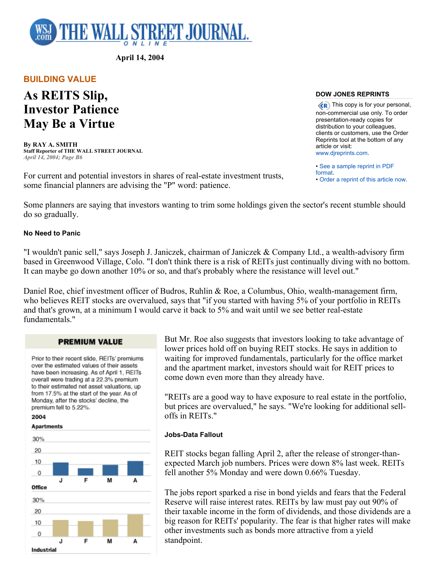

**April 14, 2004** 

**BUILDING VALUE** 

# **As REITS Slip, Investor Patience May Be a Virtue**

**By RAY A. SMITH Staff Reporter of THE WALL STREET JOURNAL** *April 14, 2004; Page B6*

For current and potential investors in shares of real-estate investment trusts, some financial planners are advising the "P" word: patience.

## **DOW JONES REPRINTS**

 $\langle \langle \mathbf{R} \rangle$  This copy is for your personal, non-commercial use only. To order presentation-ready copies for distribution to your colleagues, clients or customers, use the Order Reprints tool at the bottom of any article or visit: www.djreprints.com.

• See a sample reprint in PDF format.

• Order a reprint of this article now.

Some planners are saying that investors wanting to trim some holdings given the sector's recent stumble should do so gradually.

## **No Need to Panic**

"I wouldn't panic sell," says Joseph J. Janiczek, chairman of Janiczek & Company Ltd., a wealth-advisory firm based in Greenwood Village, Colo. "I don't think there is a risk of REITs just continually diving with no bottom. It can maybe go down another 10% or so, and that's probably where the resistance will level out."

Daniel Roe, chief investment officer of Budros, Ruhlin & Roe, a Columbus, Ohio, wealth-management firm, who believes REIT stocks are overvalued, says that "if you started with having 5% of your portfolio in REITs and that's grown, at a minimum I would carve it back to 5% and wait until we see better real-estate fundamentals."

## **PREMIUM VALUE**

Prior to their recent slide, REITs' premiums over the estimated values of their assets have been increasing. As of April 1, REITs overall were trading at a 22.3% premium to their estimated net asset valuations, up from 17.5% at the start of the year. As of Monday, after the stocks' decline, the premium fell to 5.22%.

2004

### **Apartments**



But Mr. Roe also suggests that investors looking to take advantage of lower prices hold off on buying REIT stocks. He says in addition to waiting for improved fundamentals, particularly for the office market and the apartment market, investors should wait for REIT prices to come down even more than they already have.

"REITs are a good way to have exposure to real estate in the portfolio, but prices are overvalued," he says. "We're looking for additional selloffs in REITs."

## **Jobs-Data Fallout**

REIT stocks began falling April 2, after the release of stronger-thanexpected March job numbers. Prices were down 8% last week. REITs fell another 5% Monday and were down 0.66% Tuesday.

The jobs report sparked a rise in bond yields and fears that the Federal Reserve will raise interest rates. REITs by law must pay out 90% of their taxable income in the form of dividends, and those dividends are a big reason for REITs' popularity. The fear is that higher rates will make other investments such as bonds more attractive from a yield standpoint.